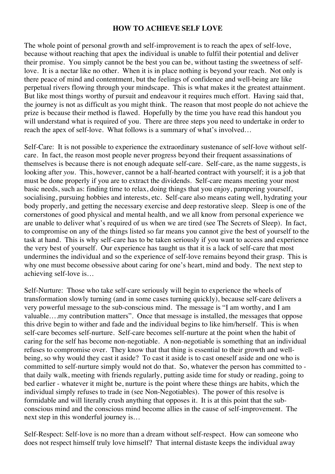## **HOW TO ACHIEVE SELF LOVE**

The whole point of personal growth and self-improvement is to reach the apex of self-love, because without reaching that apex the individual is unable to fulfil their potential and deliver their promise. You simply cannot be the best you can be, without tasting the sweetness of selflove. It is a nectar like no other. When it is in place nothing is beyond your reach. Not only is there peace of mind and contentment, but the feelings of confidence and well-being are like perpetual rivers flowing through your mindscape. This is what makes it the greatest attainment. But like most things worthy of pursuit and endeavour it requires much effort. Having said that, the journey is not as difficult as you might think. The reason that most people do not achieve the prize is because their method is flawed. Hopefully by the time you have read this handout you will understand what is required of you. There are three steps you need to undertake in order to reach the apex of self-love. What follows is a summary of what's involved…

Self-Care: It is not possible to experience the extraordinary sustenance of self-love without selfcare. In fact, the reason most people never progress beyond their frequent assassinations of themselves is because there is not enough adequate self-care. Self-care, as the name suggests, is looking after *you*. This, however, cannot be a half-hearted contract with yourself; it is a job that must be done properly if you are to extract the dividends. Self-care means meeting your most basic needs, such as: finding time to relax, doing things that you enjoy, pampering yourself, socialising, pursuing hobbies and interests, etc. Self-care also means eating well, hydrating your body properly, and getting the necessary exercise and deep restorative sleep. Sleep is one of the cornerstones of good physical and mental health, and we all know from personal experience we are unable to deliver what's required of us when we are tired (see The Secrets of Sleep). In fact, to compromise on any of the things listed so far means you cannot give the best of yourself to the task at hand. This is why self-care has to be taken seriously if you want to access and experience the very best of yourself. Our experience has taught us that it is a lack of self-care that most undermines the individual and so the experience of self-love remains beyond their grasp. This is why one must become obsessive about caring for one's heart, mind and body. The next step to achieving self-love is…

Self-Nurture: Those who take self-care seriously will begin to experience the wheels of transformation slowly turning (and in some cases turning quickly), because self-care delivers a very powerful message to the sub-conscious mind. The message is "I am worthy, and I am valuable….my contribution matters". Once that message is installed, the messages that oppose this drive begin to wither and fade and the individual begins to like him/herself. This is when self-care becomes self-nurture. Self-care becomes self-nurture at the point when the habit of caring for the self has become non-negotiable. A non-negotiable is something that an individual refuses to compromise over. They know that that thing is essential to their growth and wellbeing, so why would they cast it aside? To cast it aside is to cast oneself aside and one who is committed to self-nurture simply would not do that. So, whatever the person has committed to that daily walk, meeting with friends regularly, putting aside time for study or reading, going to bed earlier - whatever it might be, nurture is the point where these things are habits, which the individual simply refuses to trade in (see Non-Negotiables). The power of this resolve is formidable and will literally crush anything that opposes it. It is at this point that the subconscious mind and the conscious mind become allies in the cause of self-improvement. The next step in this wonderful journey is…

Self-Respect: Self-love is no more than a dream without self-respect. How can someone who does not respect himself truly love himself? That internal distaste keeps the individual away